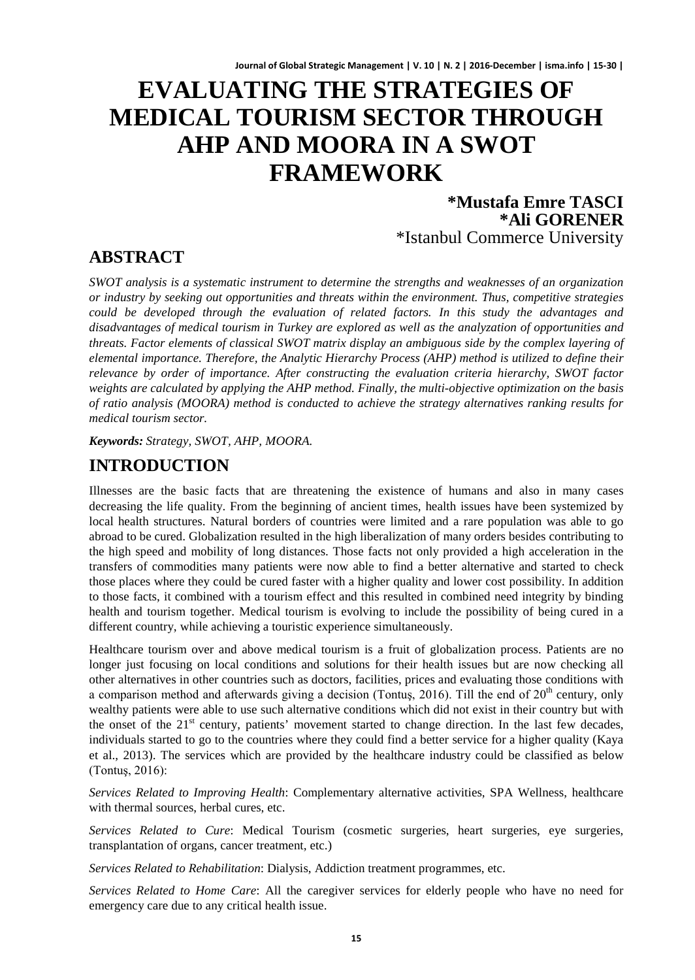# **EVALUATING THE STRATEGIES OF MEDICAL TOURISM SECTOR THROUGH AHP AND MOORA IN A SWOT FRAMEWORK**

**\*Mustafa Emre TASCI \*Ali GORENER** \*Istanbul Commerce University

# **ABSTRACT**

*SWOT analysis is a systematic instrument to determine the strengths and weaknesses of an organization or industry by seeking out opportunities and threats within the environment. Thus, competitive strategies could be developed through the evaluation of related factors. In this study the advantages and disadvantages of medical tourism in Turkey are explored as well as the analyzation of opportunities and threats. Factor elements of classical SWOT matrix display an ambiguous side by the complex layering of elemental importance. Therefore, the Analytic Hierarchy Process (AHP) method is utilized to define their relevance by order of importance. After constructing the evaluation criteria hierarchy, SWOT factor weights are calculated by applying the AHP method. Finally, the multi-objective optimization on the basis of ratio analysis (MOORA) method is conducted to achieve the strategy alternatives ranking results for medical tourism sector.*

*Keywords: Strategy, SWOT, AHP, MOORA.*

# **INTRODUCTION**

Illnesses are the basic facts that are threatening the existence of humans and also in many cases decreasing the life quality. From the beginning of ancient times, health issues have been systemized by local health structures. Natural borders of countries were limited and a rare population was able to go abroad to be cured. Globalization resulted in the high liberalization of many orders besides contributing to the high speed and mobility of long distances. Those facts not only provided a high acceleration in the transfers of commodities many patients were now able to find a better alternative and started to check those places where they could be cured faster with a higher quality and lower cost possibility. In addition to those facts, it combined with a tourism effect and this resulted in combined need integrity by binding health and tourism together. Medical tourism is evolving to include the possibility of being cured in a different country, while achieving a touristic experience simultaneously.

Healthcare tourism over and above medical tourism is a fruit of globalization process. Patients are no longer just focusing on local conditions and solutions for their health issues but are now checking all other alternatives in other countries such as doctors, facilities, prices and evaluating those conditions with a comparison method and afterwards giving a decision (Tontuş, 2016). Till the end of 20<sup>th</sup> century, only wealthy patients were able to use such alternative conditions which did not exist in their country but with the onset of the  $21<sup>st</sup>$  century, patients' movement started to change direction. In the last few decades, individuals started to go to the countries where they could find a better service for a higher quality (Kaya et al., 2013). The services which are provided by the healthcare industry could be classified as below (Tontuş, 2016):

*Services Related to Improving Health*: Complementary alternative activities, SPA Wellness, healthcare with thermal sources, herbal cures, etc.

*Services Related to Cure*: Medical Tourism (cosmetic surgeries, heart surgeries, eye surgeries, transplantation of organs, cancer treatment, etc.)

*Services Related to Rehabilitation*: Dialysis, Addiction treatment programmes, etc.

*Services Related to Home Care*: All the caregiver services for elderly people who have no need for emergency care due to any critical health issue.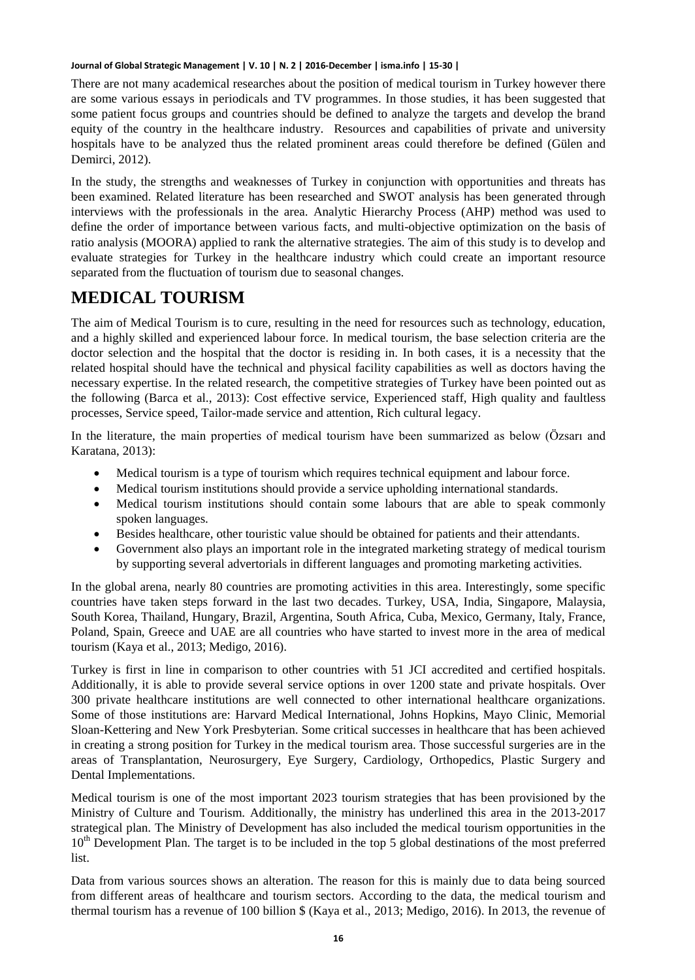There are not many academical researches about the position of medical tourism in Turkey however there are some various essays in periodicals and TV programmes. In those studies, it has been suggested that some patient focus groups and countries should be defined to analyze the targets and develop the brand equity of the country in the healthcare industry. Resources and capabilities of private and university hospitals have to be analyzed thus the related prominent areas could therefore be defined (Gülen and Demirci, 2012).

In the study, the strengths and weaknesses of Turkey in conjunction with opportunities and threats has been examined. Related literature has been researched and SWOT analysis has been generated through interviews with the professionals in the area. Analytic Hierarchy Process (AHP) method was used to define the order of importance between various facts, and multi-objective optimization on the basis of ratio analysis (MOORA) applied to rank the alternative strategies. The aim of this study is to develop and evaluate strategies for Turkey in the healthcare industry which could create an important resource separated from the fluctuation of tourism due to seasonal changes.

# **MEDICAL TOURISM**

The aim of Medical Tourism is to cure, resulting in the need for resources such as technology, education, and a highly skilled and experienced labour force. In medical tourism, the base selection criteria are the doctor selection and the hospital that the doctor is residing in. In both cases, it is a necessity that the related hospital should have the technical and physical facility capabilities as well as doctors having the necessary expertise. In the related research, the competitive strategies of Turkey have been pointed out as the following (Barca et al., 2013): Cost effective service, Experienced staff, High quality and faultless processes, Service speed, Tailor-made service and attention, Rich cultural legacy.

In the literature, the main properties of medical tourism have been summarized as below (Özsarı and Karatana, 2013):

- Medical tourism is a type of tourism which requires technical equipment and labour force.
- Medical tourism institutions should provide a service upholding international standards.
- Medical tourism institutions should contain some labours that are able to speak commonly spoken languages.
- Besides healthcare, other touristic value should be obtained for patients and their attendants.
- Government also plays an important role in the integrated marketing strategy of medical tourism by supporting several advertorials in different languages and promoting marketing activities.

In the global arena, nearly 80 countries are promoting activities in this area. Interestingly, some specific countries have taken steps forward in the last two decades. Turkey, USA, India, Singapore, Malaysia, South Korea, Thailand, Hungary, Brazil, Argentina, South Africa, Cuba, Mexico, Germany, Italy, France, Poland, Spain, Greece and UAE are all countries who have started to invest more in the area of medical tourism (Kaya et al., 2013; Medigo, 2016).

Turkey is first in line in comparison to other countries with 51 JCI accredited and certified hospitals. Additionally, it is able to provide several service options in over 1200 state and private hospitals. Over 300 private healthcare institutions are well connected to other international healthcare organizations. Some of those institutions are: Harvard Medical International, Johns Hopkins, Mayo Clinic, Memorial Sloan-Kettering and New York Presbyterian. Some critical successes in healthcare that has been achieved in creating a strong position for Turkey in the medical tourism area. Those successful surgeries are in the areas of Transplantation, Neurosurgery, Eye Surgery, Cardiology, Orthopedics, Plastic Surgery and Dental Implementations.

Medical tourism is one of the most important 2023 tourism strategies that has been provisioned by the Ministry of Culture and Tourism. Additionally, the ministry has underlined this area in the 2013-2017 strategical plan. The Ministry of Development has also included the medical tourism opportunities in the 10<sup>th</sup> Development Plan. The target is to be included in the top 5 global destinations of the most preferred list.

Data from various sources shows an alteration. The reason for this is mainly due to data being sourced from different areas of healthcare and tourism sectors. According to the data, the medical tourism and thermal tourism has a revenue of 100 billion \$ (Kaya et al., 2013; Medigo, 2016). In 2013, the revenue of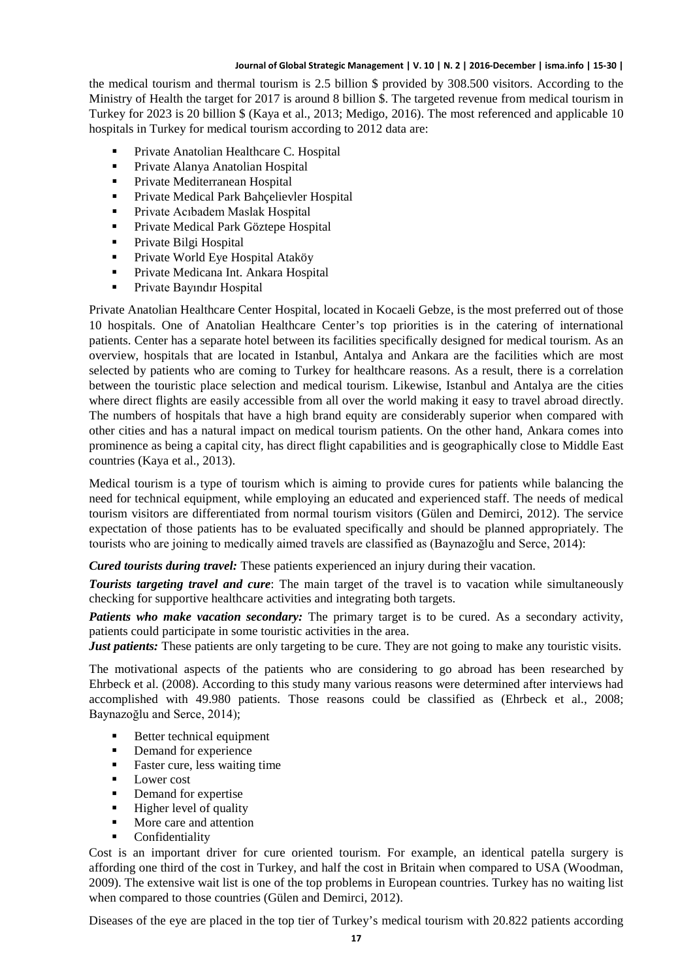the medical tourism and thermal tourism is 2.5 billion \$ provided by 308.500 visitors. According to the Ministry of Health the target for 2017 is around 8 billion \$. The targeted revenue from medical tourism in Turkey for 2023 is 20 billion \$ (Kaya et al., 2013; Medigo, 2016). The most referenced and applicable 10 hospitals in Turkey for medical tourism according to 2012 data are:

- Private Anatolian Healthcare C. Hospital
- Private Alanya Anatolian Hospital
- **Private Mediterranean Hospital**
- Private Medical Park Bahçelievler Hospital
- Private Acıbadem Maslak Hospital
- **Private Medical Park Göztepe Hospital**
- Private Bilgi Hospital
- **Private World Eye Hospital Ataköy**
- Private Medicana Int. Ankara Hospital
- Private Bayındır Hospital

Private Anatolian Healthcare Center Hospital, located in Kocaeli Gebze, is the most preferred out of those 10 hospitals. One of Anatolian Healthcare Center's top priorities is in the catering of international patients. Center has a separate hotel between its facilities specifically designed for medical tourism. As an overview, hospitals that are located in Istanbul, Antalya and Ankara are the facilities which are most selected by patients who are coming to Turkey for healthcare reasons. As a result, there is a correlation between the touristic place selection and medical tourism. Likewise, Istanbul and Antalya are the cities where direct flights are easily accessible from all over the world making it easy to travel abroad directly. The numbers of hospitals that have a high brand equity are considerably superior when compared with other cities and has a natural impact on medical tourism patients. On the other hand, Ankara comes into prominence as being a capital city, has direct flight capabilities and is geographically close to Middle East countries (Kaya et al., 2013).

Medical tourism is a type of tourism which is aiming to provide cures for patients while balancing the need for technical equipment, while employing an educated and experienced staff. The needs of medical tourism visitors are differentiated from normal tourism visitors (Gülen and Demirci, 2012). The service expectation of those patients has to be evaluated specifically and should be planned appropriately. The tourists who are joining to medically aimed travels are classified as (Baynazoğlu and Serce, 2014):

*Cured tourists during travel:* These patients experienced an injury during their vacation.

**Tourists targeting travel and cure**: The main target of the travel is to vacation while simultaneously checking for supportive healthcare activities and integrating both targets.

*Patients who make vacation secondary:* The primary target is to be cured. As a secondary activity, patients could participate in some touristic activities in the area.

*Just patients:* These patients are only targeting to be cure. They are not going to make any touristic visits.

The motivational aspects of the patients who are considering to go abroad has been researched by Ehrbeck et al. (2008). According to this study many various reasons were determined after interviews had accomplished with 49.980 patients. Those reasons could be classified as (Ehrbeck et al., 2008; Baynazoğlu and Serce, 2014);

- Better technical equipment
- Demand for experience
- Faster cure, less waiting time
- **Lower cost**
- Demand for expertise<br>• Higher level of quality
- Higher level of quality
- More care and attention
- Confidentiality

Cost is an important driver for cure oriented tourism. For example, an identical patella surgery is affording one third of the cost in Turkey, and half the cost in Britain when compared to USA (Woodman, 2009). The extensive wait list is one of the top problems in European countries. Turkey has no waiting list when compared to those countries (Gülen and Demirci, 2012).

Diseases of the eye are placed in the top tier of Turkey's medical tourism with 20.822 patients according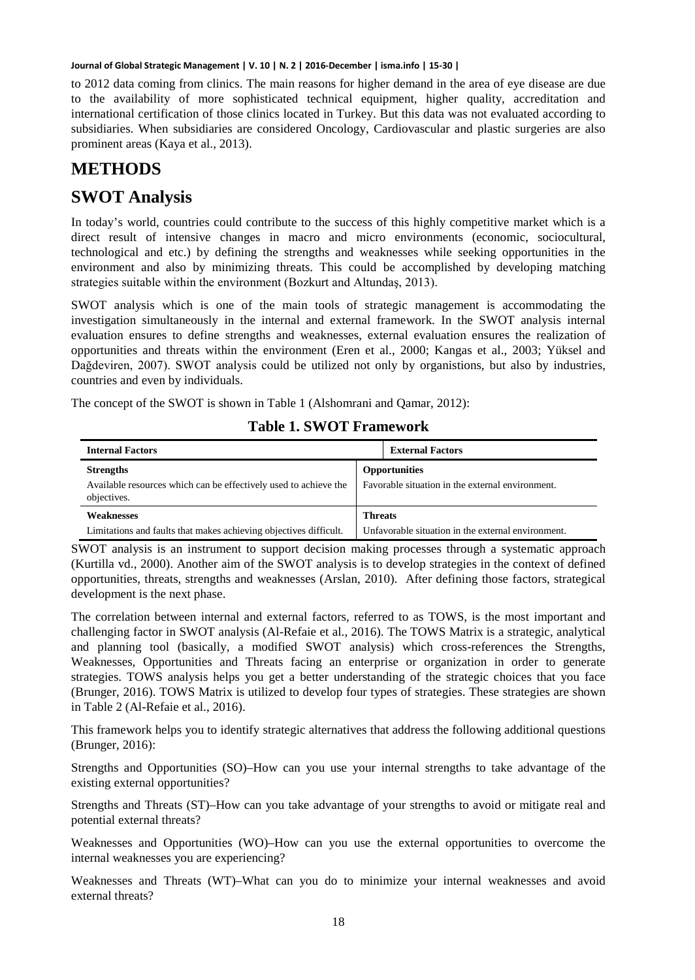to 2012 data coming from clinics. The main reasons for higher demand in the area of eye disease are due to the availability of more sophisticated technical equipment, higher quality, accreditation and international certification of those clinics located in Turkey. But this data was not evaluated according to subsidiaries. When subsidiaries are considered Oncology, Cardiovascular and plastic surgeries are also prominent areas (Kaya et al., 2013).

# **METHODS**

# **SWOT Analysis**

In today's world, countries could contribute to the success of this highly competitive market which is a direct result of intensive changes in macro and micro environments (economic, sociocultural, technological and etc.) by defining the strengths and weaknesses while seeking opportunities in the environment and also by minimizing threats. This could be accomplished by developing matching strategies suitable within the environment (Bozkurt and Altundaş, 2013).

SWOT analysis which is one of the main tools of strategic management is accommodating the investigation simultaneously in the internal and external framework. In the SWOT analysis internal evaluation ensures to define strengths and weaknesses, external evaluation ensures the realization of opportunities and threats within the environment (Eren et al., 2000; Kangas et al., 2003; Yüksel and Dağdeviren, 2007). SWOT analysis could be utilized not only by organistions, but also by industries, countries and even by individuals.

The concept of the SWOT is shown in Table 1 (Alshomrani and Qamar, 2012):

| <b>Internal Factors</b>                                                         | <b>External Factors</b> |                                                    |  |  |
|---------------------------------------------------------------------------------|-------------------------|----------------------------------------------------|--|--|
| <b>Strengths</b>                                                                |                         | <b>Opportunities</b>                               |  |  |
| Available resources which can be effectively used to achieve the<br>objectives. |                         | Favorable situation in the external environment.   |  |  |
| <b>Weaknesses</b>                                                               | <b>Threats</b>          |                                                    |  |  |
| Limitations and faults that makes achieving objectives difficult.               |                         | Unfavorable situation in the external environment. |  |  |

### **Table 1. SWOT Framework**

SWOT analysis is an instrument to support decision making processes through a systematic approach (Kurtilla vd., 2000). Another aim of the SWOT analysis is to develop strategies in the context of defined opportunities, threats, strengths and weaknesses (Arslan, 2010). After defining those factors, strategical development is the next phase.

The correlation between internal and external factors, referred to as TOWS, is the most important and challenging factor in SWOT analysis (Al-Refaie et al., 2016). The TOWS Matrix is a strategic, analytical and planning tool (basically, a modified SWOT analysis) which cross-references the Strengths, Weaknesses, Opportunities and Threats facing an enterprise or organization in order to generate strategies. TOWS analysis helps you get a better understanding of the strategic choices that you face (Brunger, 2016). TOWS Matrix is utilized to develop four types of strategies. These strategies are shown in Table 2 (Al-Refaie et al., 2016).

This framework helps you to identify strategic alternatives that address the following additional questions (Brunger, 2016):

Strengths and Opportunities (SO)–How can you use your internal strengths to take advantage of the existing external opportunities?

Strengths and Threats (ST)–How can you take advantage of your strengths to avoid or mitigate real and potential external threats?

Weaknesses and Opportunities (WO)–How can you use the external opportunities to overcome the internal weaknesses you are experiencing?

Weaknesses and Threats (WT)–What can you do to minimize your internal weaknesses and avoid external threats?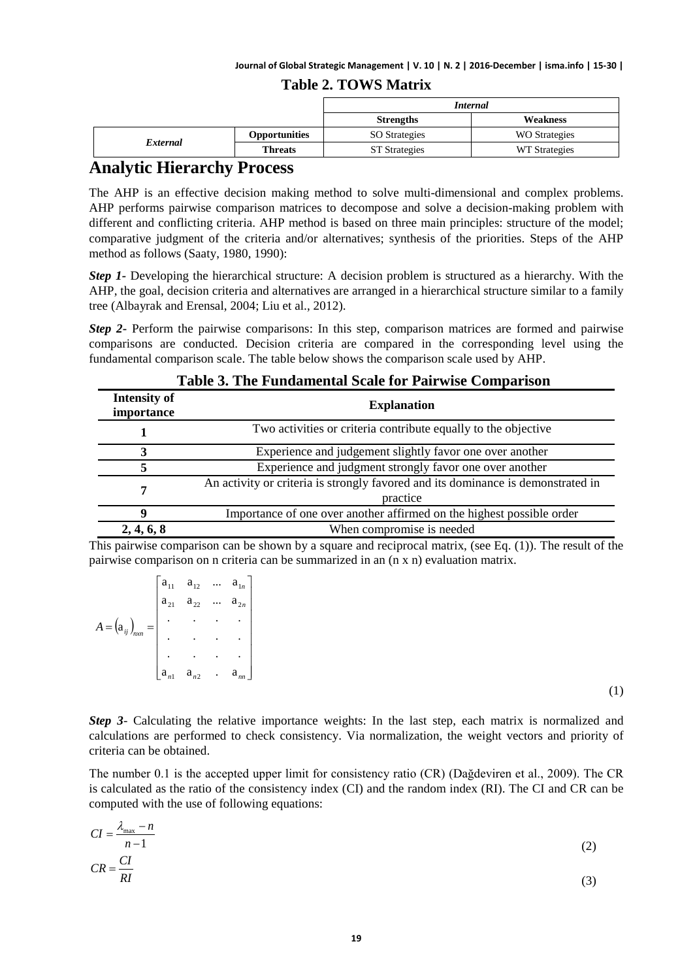### **Table 2. TOWS Matrix**

|          |                      | <b>Internal</b>      |                      |  |  |  |
|----------|----------------------|----------------------|----------------------|--|--|--|
|          |                      | <b>Strengths</b>     | Weakness             |  |  |  |
|          | <b>Opportunities</b> | <b>SO</b> Strategies | <b>WO</b> Strategies |  |  |  |
| External | <b>Threats</b>       | <b>ST</b> Strategies | WT Strategies        |  |  |  |

### **Analytic Hierarchy Process**

The AHP is an effective decision making method to solve multi-dimensional and complex problems. AHP performs pairwise comparison matrices to decompose and solve a decision-making problem with different and conflicting criteria. AHP method is based on three main principles: structure of the model; comparative judgment of the criteria and/or alternatives; synthesis of the priorities. Steps of the AHP method as follows (Saaty, 1980, 1990):

*Step 1*- Developing the hierarchical structure: A decision problem is structured as a hierarchy. With the AHP, the goal, decision criteria and alternatives are arranged in a hierarchical structure similar to a family tree (Albayrak and Erensal, 2004; Liu et al., 2012).

*Step 2* Perform the pairwise comparisons: In this step, comparison matrices are formed and pairwise comparisons are conducted. Decision criteria are compared in the corresponding level using the fundamental comparison scale. The table below shows the comparison scale used by AHP.

| <b>Intensity of</b><br>importance | <b>Explanation</b>                                                                           |
|-----------------------------------|----------------------------------------------------------------------------------------------|
|                                   | Two activities or criteria contribute equally to the objective                               |
| 3                                 | Experience and judgement slightly favor one over another                                     |
|                                   | Experience and judgment strongly favor one over another                                      |
| 7                                 | An activity or criteria is strongly favored and its dominance is demonstrated in<br>practice |
| 9                                 | Importance of one over another affirmed on the highest possible order                        |
| 2, 4, 6, 8                        | When compromise is needed                                                                    |

### **Table 3. The Fundamental Scale for Pairwise Comparison**

This pairwise comparison can be shown by a square and reciprocal matrix, (see Eq. (1)). The result of the pairwise comparison on n criteria can be summarized in an (n x n) evaluation matrix.

|                                                        | $a_{11}$          | $\mathbf{a}_{12}$    |                      | $\mathbf{a}_{1n}$ |
|--------------------------------------------------------|-------------------|----------------------|----------------------|-------------------|
|                                                        | $\mathbf{a}_{21}$ | $a_{22}$             | $\ddotsc$            | $a_{2n}$          |
| $A = \left(\mathbf{a}_{ij}\right)_{n \times n}$<br>$=$ |                   |                      |                      |                   |
|                                                        |                   |                      |                      |                   |
|                                                        |                   |                      |                      |                   |
|                                                        | a                 | a.<br>n <sub>2</sub> | $\ddot{\phantom{0}}$ | a                 |

(1)

*Step 3*- Calculating the relative importance weights: In the last step, each matrix is normalized and calculations are performed to check consistency. Via normalization, the weight vectors and priority of criteria can be obtained.

The number 0.1 is the accepted upper limit for consistency ratio (CR) (Dağdeviren et al., 2009). The CR is calculated as the ratio of the consistency index (CI) and the random index (RI). The CI and CR can be computed with the use of following equations:

$$
CI = \frac{\lambda_{\text{max}} - n}{n - 1}
$$
\n
$$
CR = \frac{CI}{RI}
$$
\n(2)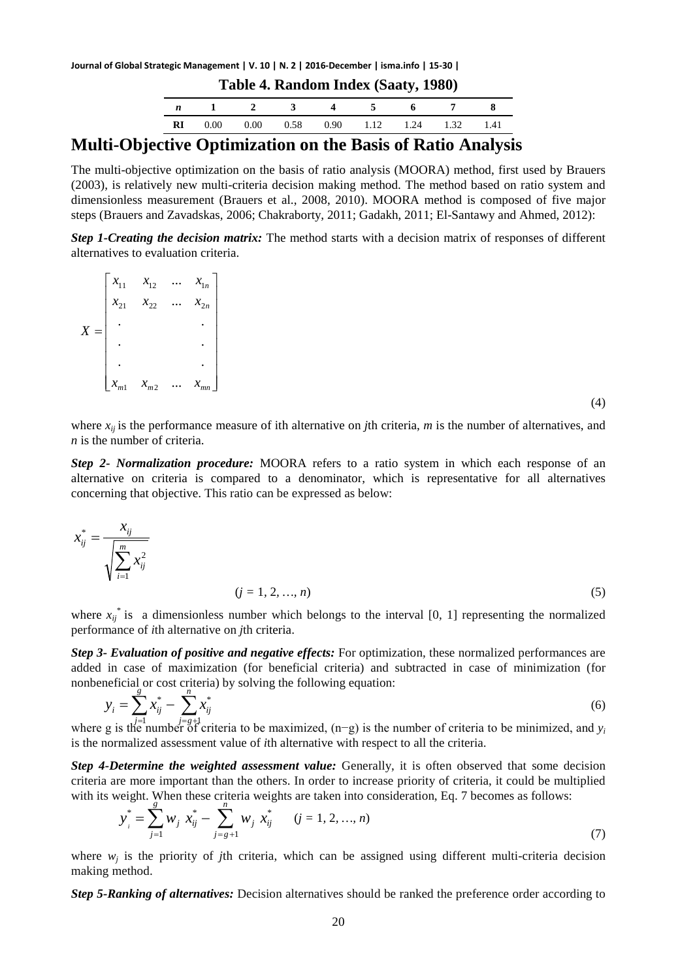**Journal of Global Strategic Management | V. 10 | N. 2 | 2016-December | isma.info | 15-30 |**

| Table 4. Random Index (Saaty, 1980) |      |      |               |      |               |         |     |  |  |  |
|-------------------------------------|------|------|---------------|------|---------------|---------|-----|--|--|--|
|                                     |      |      | $\sim$ $\sim$ |      | $\sim$ $\sim$ | - 6 - 6 |     |  |  |  |
| RI                                  | 0.00 | 0.00 | 0.58          | 0.90 | 1.12          | 1.24    | 132 |  |  |  |

### **Multi-Objective Optimization on the Basis of Ratio Analysis**

The multi-objective optimization on the basis of ratio analysis (MOORA) method, first used by Brauers (2003), is relatively new multi-criteria decision making method. The method based on ratio system and dimensionless measurement (Brauers et al., 2008, 2010). MOORA method is composed of five major steps (Brauers and Zavadskas, 2006; Chakraborty, 2011; Gadakh, 2011; El-Santawy and Ahmed, 2012):

*Step 1-Creating the decision matrix:* The method starts with a decision matrix of responses of different alternatives to evaluation criteria.

 $\overline{\phantom{a}}$  $\overline{\phantom{a}}$  $\overline{\phantom{a}}$  $\overline{\phantom{a}}$  $\overline{\phantom{a}}$  $\overline{\phantom{a}}$  $\overline{\phantom{a}}$  $\overline{\phantom{a}}$ J  $\overline{\phantom{a}}$  $\mathbf{r}$ L L L L L L L L L =  $m_1 \sim m_2 \sim m_m$ *n n*  $x_{m1}$   $x_{m2}$  ... *x*  $x_{21}$   $x_{22}$  ... *x*  $x_{11}$   $x_{12}$  ... x *X* ... . . . . . . ... ... 1  $\lambda_{m2}$ 21  $\lambda_{22}$   $\cdots$   $\lambda_{2}$  $11 \quad \lambda_{12} \quad \cdots \quad \lambda_1$ 

(4)

where  $x_{ij}$  is the performance measure of ith alternative on *j*th criteria, *m* is the number of alternatives, and *n* is the number of criteria.

*Step 2- Normalization procedure:* MOORA refers to a ratio system in which each response of an alternative on criteria is compared to a denominator, which is representative for all alternatives concerning that objective. This ratio can be expressed as below:

$$
x_{ij}^{*} = \frac{x_{ij}}{\sqrt{\sum_{i=1}^{m} x_{ij}^{2}}}
$$
  
(*j* = 1, 2, ..., *n*) (5)

where  $x_{ij}$ <sup>\*</sup> is a dimensionless number which belongs to the interval [0, 1] representing the normalized performance of *i*th alternative on *j*th criteria.

*Step 3- Evaluation of positive and negative effects:* For optimization, these normalized performances are added in case of maximization (for beneficial criteria) and subtracted in case of minimization (for nonbeneficial or cost criteria) by solving the following equation:

$$
y_i = \sum_{j=1}^{s} x_{ij}^* - \sum_{j=g+1}^{n} x_{ij}^*
$$
\n(6)

\nwhere g is the number of criteria to be maximized, (n-g) is the number of criteria to be minimized, and  $y_i$ .

is the normalized assessment value of *i*th alternative with respect to all the criteria.

*Step 4-Determine the weighted assessment value:* Generally, it is often observed that some decision criteria are more important than the others. In order to increase priority of criteria, it could be multiplied with its weight. When these criteria weights are taken into consideration, Eq. 7 becomes as follows:

$$
y_i^* = \sum_{j=1}^s w_j x_{ij}^* - \sum_{j=g+1}^n w_j x_{ij}^* \qquad (j = 1, 2, ..., n)
$$
\n(7)

where  $w_i$  is the priority of *j*th criteria, which can be assigned using different multi-criteria decision making method.

*Step 5-Ranking of alternatives:* Decision alternatives should be ranked the preference order according to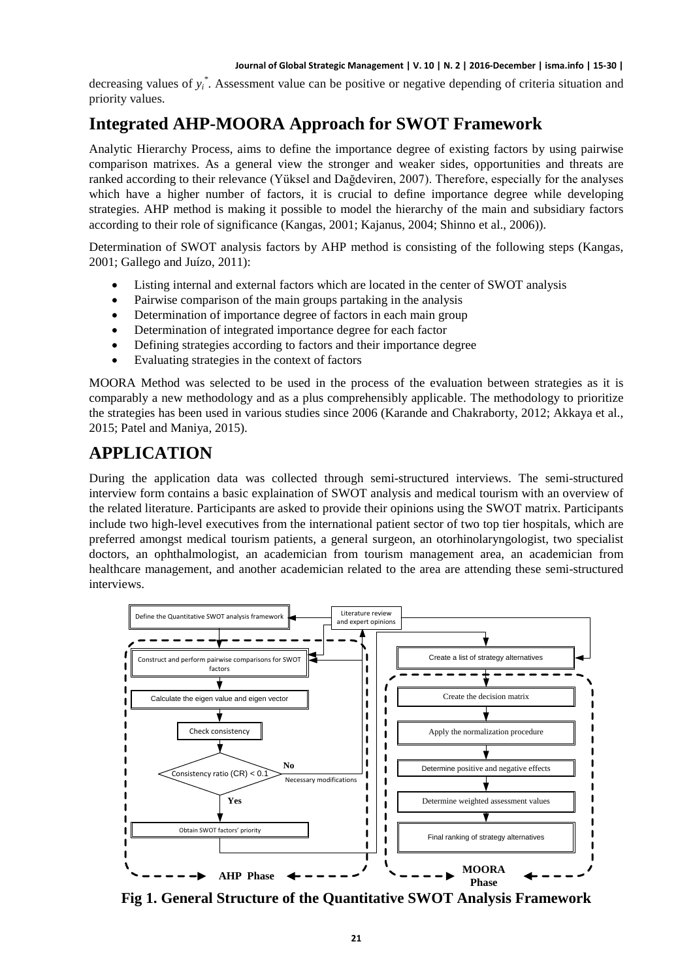decreasing values of *yi \** . Assessment value can be positive or negative depending of criteria situation and priority values.

# **Integrated AHP-MOORA Approach for SWOT Framework**

Analytic Hierarchy Process, aims to define the importance degree of existing factors by using pairwise comparison matrixes. As a general view the stronger and weaker sides, opportunities and threats are ranked according to their relevance (Yüksel and Dağdeviren, 2007). Therefore, especially for the analyses which have a higher number of factors, it is crucial to define importance degree while developing strategies. AHP method is making it possible to model the hierarchy of the main and subsidiary factors according to their role of significance (Kangas, 2001; Kajanus, 2004; Shinno et al., 2006)).

Determination of SWOT analysis factors by AHP method is consisting of the following steps (Kangas, 2001; Gallego and Juízo, 2011):

- Listing internal and external factors which are located in the center of SWOT analysis
- Pairwise comparison of the main groups partaking in the analysis
- Determination of importance degree of factors in each main group
- Determination of integrated importance degree for each factor
- Defining strategies according to factors and their importance degree
- Evaluating strategies in the context of factors

MOORA Method was selected to be used in the process of the evaluation between strategies as it is comparably a new methodology and as a plus comprehensibly applicable. The methodology to prioritize the strategies has been used in various studies since 2006 (Karande and Chakraborty, 2012; Akkaya et al., 2015; Patel and Maniya, 2015).

# **APPLICATION**

During the application data was collected through semi-structured interviews. The semi-structured interview form contains a basic explaination of SWOT analysis and medical tourism with an overview of the related literature. Participants are asked to provide their opinions using the SWOT matrix. Participants include two high-level executives from the international patient sector of two top tier hospitals, which are preferred amongst medical tourism patients, a general surgeon, an otorhinolaryngologist, two specialist doctors, an ophthalmologist, an academician from tourism management area, an academician from healthcare management, and another academician related to the area are attending these semi-structured interviews.



**Fig 1. General Structure of the Quantitative SWOT Analysis Framework**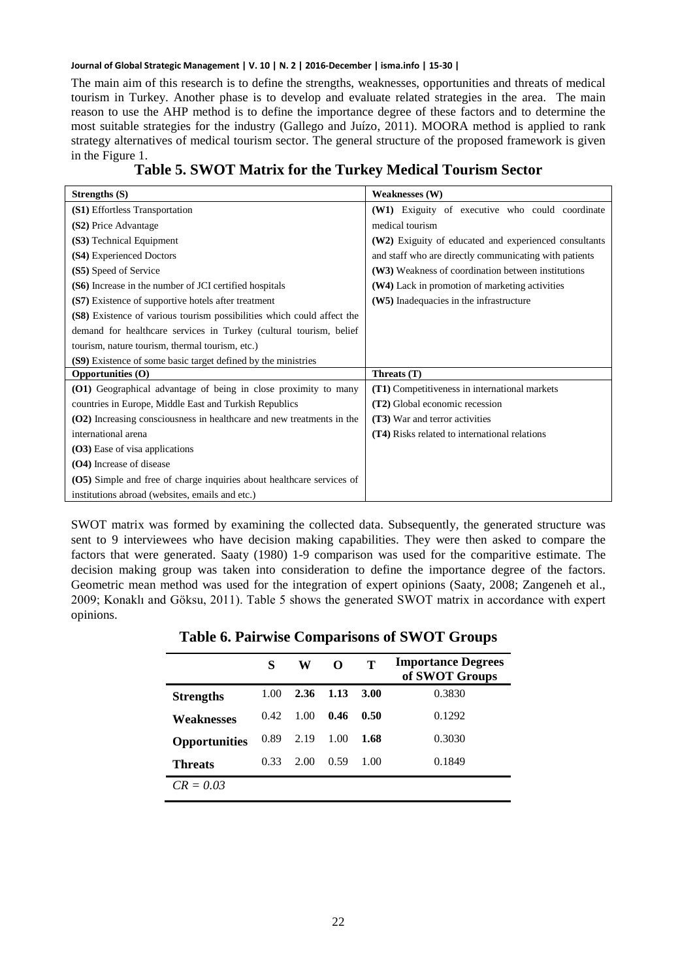The main aim of this research is to define the strengths, weaknesses, opportunities and threats of medical tourism in Turkey. Another phase is to develop and evaluate related strategies in the area. The main reason to use the AHP method is to define the importance degree of these factors and to determine the most suitable strategies for the industry (Gallego and Juízo, 2011). MOORA method is applied to rank strategy alternatives of medical tourism sector. The general structure of the proposed framework is given in the Figure 1.

### **Table 5. SWOT Matrix for the Turkey Medical Tourism Sector**

| Strengths (S)                                                          | <b>Weaknesses (W)</b>                                  |
|------------------------------------------------------------------------|--------------------------------------------------------|
| (S1) Effortless Transportation                                         | (W1) Exiguity of executive who could coordinate        |
| (S2) Price Advantage                                                   | medical tourism                                        |
| (S3) Technical Equipment                                               | (W2) Exiguity of educated and experienced consultants  |
| (S4) Experienced Doctors                                               | and staff who are directly communicating with patients |
| (S5) Speed of Service                                                  | (W3) Weakness of coordination between institutions     |
| (S6) Increase in the number of JCI certified hospitals                 | (W4) Lack in promotion of marketing activities         |
| (S7) Existence of supportive hotels after treatment                    | (W5) Inadequacies in the infrastructure                |
| (S8) Existence of various tourism possibilities which could affect the |                                                        |
| demand for healthcare services in Turkey (cultural tourism, belief     |                                                        |
| tourism, nature tourism, thermal tourism, etc.)                        |                                                        |
| (S9) Existence of some basic target defined by the ministries          |                                                        |
| <b>Opportunities (O)</b>                                               | Threats (T)                                            |
| (O1) Geographical advantage of being in close proximity to many        | (T1) Competitiveness in international markets          |
| countries in Europe, Middle East and Turkish Republics                 | (T2) Global economic recession                         |
| (O2) Increasing consciousness in healthcare and new treatments in the  | <b>(T3)</b> War and terror activities                  |
| international arena                                                    | <b>(T4)</b> Risks related to international relations   |
| (O3) Ease of visa applications                                         |                                                        |
| (O4) Increase of disease                                               |                                                        |
| (O5) Simple and free of charge inquiries about healthcare services of  |                                                        |
| institutions abroad (websites, emails and etc.)                        |                                                        |

SWOT matrix was formed by examining the collected data. Subsequently, the generated structure was sent to 9 interviewees who have decision making capabilities. They were then asked to compare the factors that were generated. Saaty (1980) 1-9 comparison was used for the comparitive estimate. The decision making group was taken into consideration to define the importance degree of the factors. Geometric mean method was used for the integration of expert opinions (Saaty, 2008; Zangeneh et al., 2009; Konaklı and Göksu, 2011). Table 5 shows the generated SWOT matrix in accordance with expert opinions.

|                      | S     | W    | O    | т    | <b>Importance Degrees</b><br>of SWOT Groups |
|----------------------|-------|------|------|------|---------------------------------------------|
| <b>Strengths</b>     | 1.00  | 2.36 | 1.13 | 3.00 | 0.3830                                      |
| Weaknesses           | 0.42. | 1.00 | 0.46 | 0.50 | 0.1292                                      |
| <b>Opportunities</b> | 0.89  | 2.19 | 1.00 | 1.68 | 0.3030                                      |
| Threats              | 0.33  | 2.00 | 0.59 | 1.00 | 0.1849                                      |
| $CR = 0.03$          |       |      |      |      |                                             |

**Table 6. Pairwise Comparisons of SWOT Groups**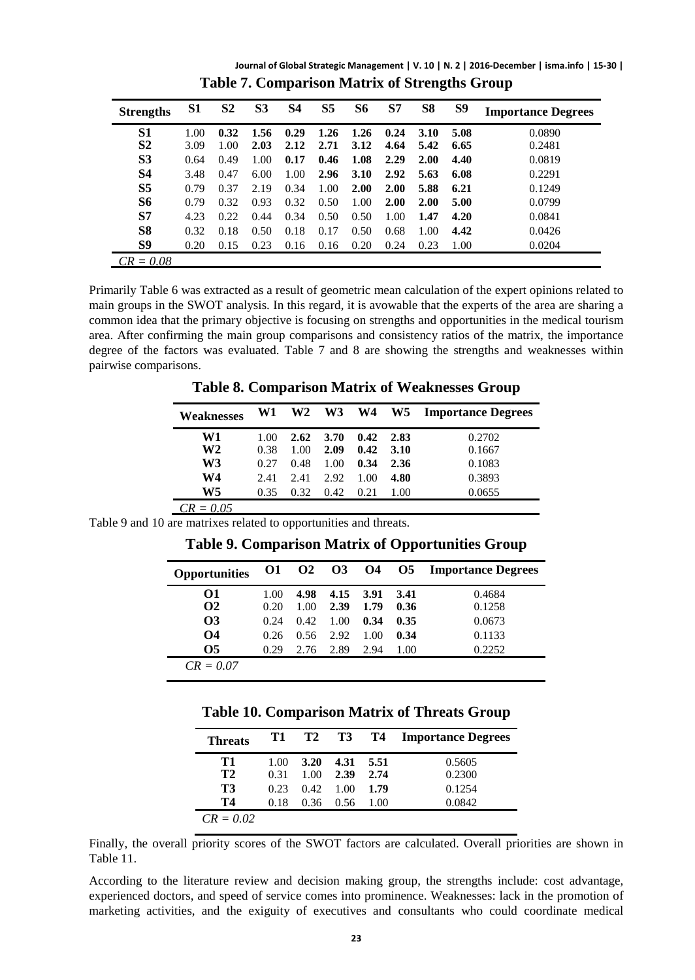**Journal of Global Strategic Management | V. 10 | N. 2 | 2016-December | isma.info | 15-30 | Table 7. Comparison Matrix of Strengths Group**

| <b>Strengths</b> | S1   | S <sub>2</sub> | S <sub>3</sub> | S4   | S <sub>5</sub> | S6          | S7   | S8   | S9   | <b>Importance Degrees</b> |
|------------------|------|----------------|----------------|------|----------------|-------------|------|------|------|---------------------------|
| S1               | 1.00 | 0.32           | 1.56           | 0.29 | 1.26           | 1.26        | 0.24 | 3.10 | 5.08 | 0.0890                    |
| S <sub>2</sub>   | 3.09 | 1.00           | 2.03           | 2.12 | 2.71           | 3.12        | 4.64 | 5.42 | 6.65 | 0.2481                    |
| S <sub>3</sub>   | 0.64 | 0.49           | 1.00           | 0.17 | 0.46           | 1.08        | 2.29 | 2.00 | 4.40 | 0.0819                    |
| <b>S4</b>        | 3.48 | 0.47           | 6.00           | 1.00 | 2.96           | <b>3.10</b> | 2.92 | 5.63 | 6.08 | 0.2291                    |
| S <sub>5</sub>   | 0.79 | 0.37           | 2.19           | 0.34 | 1.00           | 2.00        | 2.00 | 5.88 | 6.21 | 0.1249                    |
| S6               | 0.79 | 0.32           | 0.93           | 0.32 | 0.50           | 1.00        | 2.00 | 2.00 | 5.00 | 0.0799                    |
| S <sub>7</sub>   | 4.23 | 0.22           | 0.44           | 0.34 | 0.50           | 0.50        | 1.00 | 1.47 | 4.20 | 0.0841                    |
| S <sub>8</sub>   | 0.32 | 0.18           | 0.50           | 0.18 | 0.17           | 0.50        | 0.68 | 1.00 | 4.42 | 0.0426                    |
| S9               | 0.20 | 0.15           | 0.23           | 0.16 | 0.16           | 0.20        | 0.24 | 0.23 | 1.00 | 0.0204                    |
| $CR = 0.08$      |      |                |                |      |                |             |      |      |      |                           |

Primarily Table 6 was extracted as a result of geometric mean calculation of the expert opinions related to main groups in the SWOT analysis. In this regard, it is avowable that the experts of the area are sharing a common idea that the primary objective is focusing on strengths and opportunities in the medical tourism area. After confirming the main group comparisons and consistency ratios of the matrix, the importance degree of the factors was evaluated. Table 7 and 8 are showing the strengths and weaknesses within pairwise comparisons.

**Table 8. Comparison Matrix of Weaknesses Group**

| Weaknesses  | W1   |      | W <sub>2</sub> W <sub>3</sub> |      |      | W4 W5 Importance Degrees |
|-------------|------|------|-------------------------------|------|------|--------------------------|
| W1          | 1.00 | 2.62 | 3.70                          | 0.42 | 2.83 | 0.2702                   |
| W2          | 0.38 | 1.00 | 2.09                          | 0.42 | 3.10 | 0.1667                   |
| W3          | 0.27 | 0.48 | 1.00                          | 0.34 | 2.36 | 0.1083                   |
| W4          | 2.41 | 2.41 | 2.92                          | 1.00 | 4.80 | 0.3893                   |
| W5          | 0.35 | 0.32 | 0.42                          | 0.21 | 1.00 | 0.0655                   |
| $CD = 0.05$ |      |      |                               |      |      |                          |

*CR = 0.05*

Table 9 and 10 are matrixes related to opportunities and threats.

| O1   |      | <b>O3</b> |      | <b>O5</b> | <b>Importance Degrees</b> |
|------|------|-----------|------|-----------|---------------------------|
| 1.00 | 4.98 | 4.15      | 3.91 | 3.41      | 0.4684                    |
| 0.20 | 1.00 | 2.39      | 1.79 | 0.36      | 0.1258                    |
| 0.24 | 0.42 | 1.00      | 0.34 | 0.35      | 0.0673                    |
| 0.26 | 0.56 | 2.92      | 1.00 | 0.34      | 0.1133                    |
| 0.29 | 2.76 | 2.89      | 2.94 | 1.00      | 0.2252                    |
|      |      |           |      |           |                           |
|      |      |           | O2   |           | O4                        |

**Table 9. Comparison Matrix of Opportunities Group**

**Table 10. Comparison Matrix of Threats Group**

| <b>Threats</b>       | T1           | T2           | T3 T4        |              | <b>Importance Degrees</b> |
|----------------------|--------------|--------------|--------------|--------------|---------------------------|
| Т1<br>T <sub>2</sub> | 1.00<br>0.31 | 3.20<br>1.00 | 4.31<br>2.39 | 5.51<br>2.74 | 0.5605<br>0.2300          |
| T3                   | 0.23         | 0.42.        | 1.00         | 1.79         | 0.1254                    |
| Т4                   | 0.18         | 0.36         | 0.56         | 1.00         | 0.0842                    |
| $CR = 0.02$          |              |              |              |              |                           |

Finally, the overall priority scores of the SWOT factors are calculated. Overall priorities are shown in Table 11.

According to the literature review and decision making group, the strengths include: cost advantage, experienced doctors, and speed of service comes into prominence. Weaknesses: lack in the promotion of marketing activities, and the exiguity of executives and consultants who could coordinate medical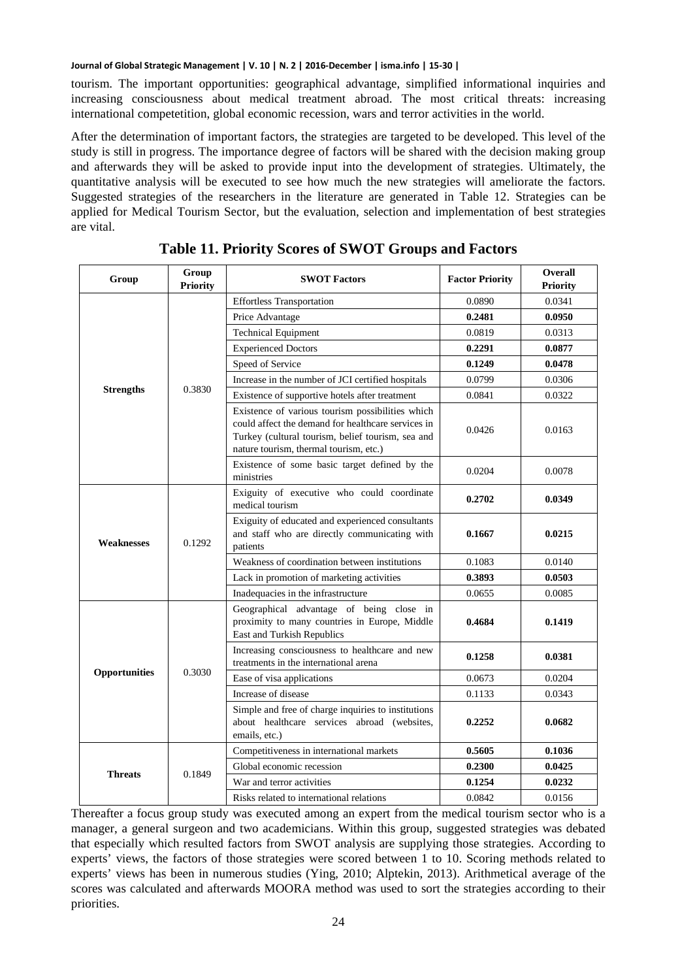tourism. The important opportunities: geographical advantage, simplified informational inquiries and increasing consciousness about medical treatment abroad. The most critical threats: increasing international competetition, global economic recession, wars and terror activities in the world.

After the determination of important factors, the strategies are targeted to be developed. This level of the study is still in progress. The importance degree of factors will be shared with the decision making group and afterwards they will be asked to provide input into the development of strategies. Ultimately, the quantitative analysis will be executed to see how much the new strategies will ameliorate the factors. Suggested strategies of the researchers in the literature are generated in Table 12. Strategies can be applied for Medical Tourism Sector, but the evaluation, selection and implementation of best strategies are vital.

| Group             | Group<br><b>Priority</b> | <b>SWOT Factors</b>                                                                                                                                                                                   | <b>Factor Priority</b> | <b>Overall</b><br><b>Priority</b> |
|-------------------|--------------------------|-------------------------------------------------------------------------------------------------------------------------------------------------------------------------------------------------------|------------------------|-----------------------------------|
|                   |                          | <b>Effortless Transportation</b>                                                                                                                                                                      | 0.0890                 | 0.0341                            |
|                   |                          | Price Advantage                                                                                                                                                                                       | 0.2481                 | 0.0950                            |
|                   |                          | <b>Technical Equipment</b>                                                                                                                                                                            | 0.0819                 | 0.0313                            |
|                   |                          | <b>Experienced Doctors</b>                                                                                                                                                                            | 0.2291                 | 0.0877                            |
|                   |                          | Speed of Service                                                                                                                                                                                      | 0.1249                 | 0.0478                            |
|                   |                          | Increase in the number of JCI certified hospitals                                                                                                                                                     | 0.0799                 | 0.0306                            |
| <b>Strengths</b>  | 0.3830                   | Existence of supportive hotels after treatment                                                                                                                                                        | 0.0841                 | 0.0322                            |
|                   |                          | Existence of various tourism possibilities which<br>could affect the demand for healthcare services in<br>Turkey (cultural tourism, belief tourism, sea and<br>nature tourism, thermal tourism, etc.) | 0.0426                 | 0.0163                            |
|                   |                          | Existence of some basic target defined by the<br>ministries                                                                                                                                           | 0.0204                 | 0.0078                            |
|                   | 0.1292                   | Exiguity of executive who could coordinate<br>medical tourism                                                                                                                                         | 0.2702                 | 0.0349                            |
| <b>Weaknesses</b> |                          | Exiguity of educated and experienced consultants<br>and staff who are directly communicating with<br>patients                                                                                         | 0.1667                 | 0.0215                            |
|                   |                          | Weakness of coordination between institutions                                                                                                                                                         | 0.1083                 | 0.0140                            |
|                   |                          | Lack in promotion of marketing activities                                                                                                                                                             | 0.3893                 | 0.0503                            |
|                   |                          | Inadequacies in the infrastructure                                                                                                                                                                    | 0.0655                 | 0.0085                            |
|                   |                          | Geographical advantage of being close in<br>proximity to many countries in Europe, Middle<br>East and Turkish Republics                                                                               | 0.4684                 | 0.1419                            |
|                   |                          | Increasing consciousness to healthcare and new<br>treatments in the international arena                                                                                                               | 0.1258                 | 0.0381                            |
| Opportunities     | 0.3030                   | Ease of visa applications                                                                                                                                                                             | 0.0673                 | 0.0204                            |
|                   |                          | Increase of disease                                                                                                                                                                                   | 0.1133                 | 0.0343                            |
|                   |                          | Simple and free of charge inquiries to institutions<br>about healthcare services abroad (websites,<br>emails, etc.)                                                                                   | 0.2252                 | 0.0682                            |
|                   |                          | Competitiveness in international markets                                                                                                                                                              | 0.5605                 | 0.1036                            |
| <b>Threats</b>    | 0.1849                   | Global economic recession                                                                                                                                                                             | 0.2300                 | 0.0425                            |
|                   |                          | War and terror activities                                                                                                                                                                             | 0.1254                 | 0.0232                            |
|                   |                          | Risks related to international relations                                                                                                                                                              | 0.0842                 | 0.0156                            |

Thereafter a focus group study was executed among an expert from the medical tourism sector who is a manager, a general surgeon and two academicians. Within this group, suggested strategies was debated that especially which resulted factors from SWOT analysis are supplying those strategies. According to experts' views, the factors of those strategies were scored between 1 to 10. Scoring methods related to experts' views has been in numerous studies (Ying, 2010; Alptekin, 2013). Arithmetical average of the scores was calculated and afterwards MOORA method was used to sort the strategies according to their priorities.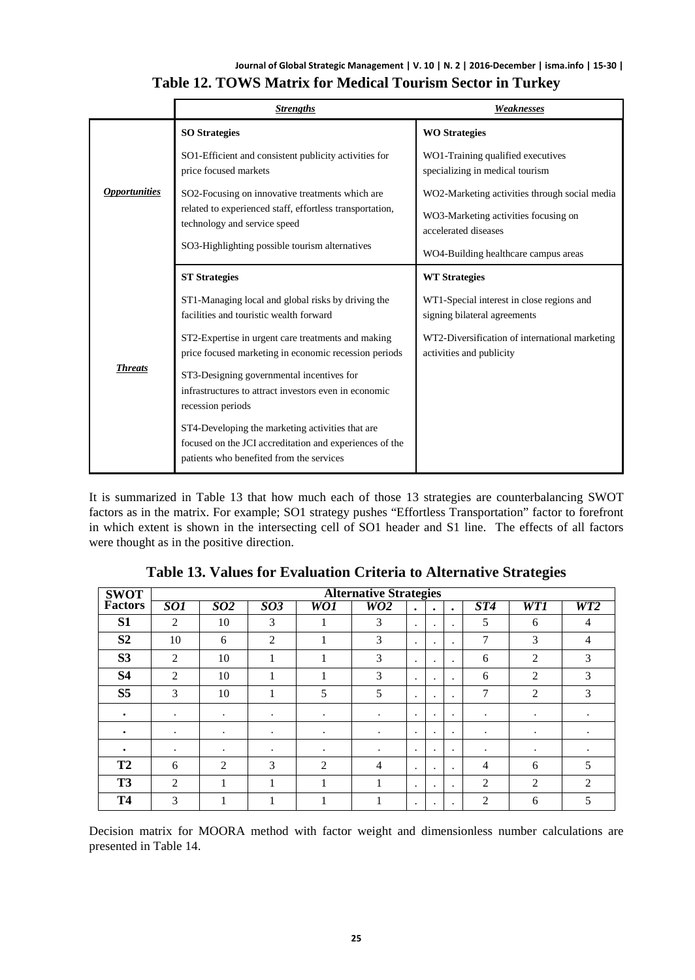### **Journal of Global Strategic Management | V. 10 | N. 2 | 2016-December | isma.info | 15-30 | Table 12. TOWS Matrix for Medical Tourism Sector in Turkey**

|                      | <b>Strengths</b>                                                                                                                                        | Weaknesses                                                                 |  |  |  |  |
|----------------------|---------------------------------------------------------------------------------------------------------------------------------------------------------|----------------------------------------------------------------------------|--|--|--|--|
|                      | <b>SO Strategies</b>                                                                                                                                    | <b>WO Strategies</b>                                                       |  |  |  |  |
| <b>Opportunities</b> | SO1-Efficient and consistent publicity activities for<br>price focused markets                                                                          | WO1-Training qualified executives<br>specializing in medical tourism       |  |  |  |  |
|                      | SO2-Focusing on innovative treatments which are                                                                                                         | WO2-Marketing activities through social media                              |  |  |  |  |
|                      | related to experienced staff, effortless transportation,<br>technology and service speed                                                                | WO3-Marketing activities focusing on<br>accelerated diseases               |  |  |  |  |
|                      | SO3-Highlighting possible tourism alternatives                                                                                                          | WO4-Building healthcare campus areas                                       |  |  |  |  |
|                      | <b>ST Strategies</b>                                                                                                                                    | <b>WT</b> Strategies                                                       |  |  |  |  |
| <b>Threats</b>       | ST1-Managing local and global risks by driving the<br>facilities and touristic wealth forward                                                           | WT1-Special interest in close regions and<br>signing bilateral agreements  |  |  |  |  |
|                      | ST2-Expertise in urgent care treatments and making<br>price focused marketing in economic recession periods                                             | WT2-Diversification of international marketing<br>activities and publicity |  |  |  |  |
|                      | ST3-Designing governmental incentives for<br>infrastructures to attract investors even in economic<br>recession periods                                 |                                                                            |  |  |  |  |
|                      | ST4-Developing the marketing activities that are<br>focused on the JCI accreditation and experiences of the<br>patients who benefited from the services |                                                                            |  |  |  |  |

It is summarized in Table 13 that how much each of those 13 strategies are counterbalancing SWOT factors as in the matrix. For example; SO1 strategy pushes "Effortless Transportation" factor to forefront in which extent is shown in the intersecting cell of SO1 header and S1 line. The effects of all factors were thought as in the positive direction.

| <b>SWOT</b>    | <b>Alternative Strategies</b> |                |                |     |           |           |           |           |                |                |                             |
|----------------|-------------------------------|----------------|----------------|-----|-----------|-----------|-----------|-----------|----------------|----------------|-----------------------------|
| Factors        | SO1                           | <i>SO2</i>     | 503            | WO1 | WO2       | $\bullet$ | $\bullet$ | $\bullet$ | ST4            | WT1            | WT2                         |
| S <sub>1</sub> | $\overline{2}$                | 10             | 3              |     | 3         | $\cdot$   |           | $\cdot$   | 5              | 6              | 4                           |
| S <sub>2</sub> | 10                            | 6              | $\overline{2}$ |     | 3         | $\cdot$   |           | $\cdot$   | 7              | 3              | 4                           |
| S <sub>3</sub> | 2                             | 10             |                |     | 3         | $\cdot$   | ٠.        | $\bullet$ | 6              | 2              | 3                           |
| <b>S4</b>      | 2                             | 10             |                |     | 3         | $\cdot$   | ٠.        | $\cdot$   | 6              | $\overline{c}$ | 3                           |
| S <sub>5</sub> | 3                             | 10             | л              | 5   | 5         | $\cdot$   | ٠         | $\bullet$ | 7              | $\overline{c}$ | 3                           |
| ٠              | ٠                             | ٠              | $\bullet$      | ٠   | $\bullet$ | $\bullet$ | ٠         | $\bullet$ | $\bullet$      | ٠              | $\bullet$                   |
| $\bullet$      | ٠                             | $\bullet$      | $\bullet$      | ٠   | $\cdot$   | $\cdot$   | ٠         | $\cdot$   | $\bullet$      | ٠              | ٠                           |
| ٠              | ٠                             | $\bullet$      | $\bullet$      | ٠   | $\bullet$ | $\cdot$   | ٠         | $\bullet$ | ٠              | ٠              | ٠                           |
| T <sub>2</sub> | 6                             | $\overline{2}$ | 3              | 2   | 4         | $\cdot$   |           | $\cdot$   | 4              | 6              | 5                           |
| T <sub>3</sub> | $\mathcal{D}_{\mathcal{L}}$   |                | 1              | 1   |           | $\bullet$ |           | $\bullet$ | 2              | $\overline{c}$ | $\mathcal{D}_{\mathcal{L}}$ |
| <b>T4</b>      | 3                             |                |                |     |           |           |           | ٠         | $\overline{2}$ | 6              | 5                           |

**Table 13. Values for Evaluation Criteria to Alternative Strategies**

Decision matrix for MOORA method with factor weight and dimensionless number calculations are presented in Table 14.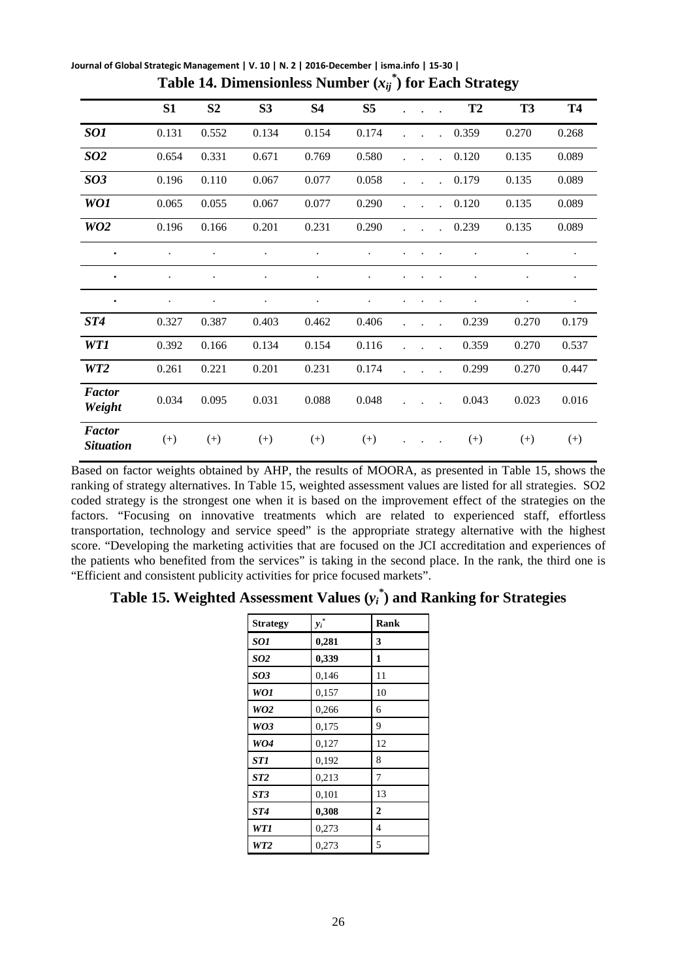|                                   | S1       | S <sub>2</sub> | S <sub>3</sub> | S4    | S5    |  |                      | T <sub>2</sub> | T <sub>3</sub> | <b>T4</b> |
|-----------------------------------|----------|----------------|----------------|-------|-------|--|----------------------|----------------|----------------|-----------|
| SO1                               | 0.131    | 0.552          | 0.134          | 0.154 | 0.174 |  |                      | 0.359          | 0.270          | 0.268     |
| <b>SO2</b>                        | 0.654    | 0.331          | 0.671          | 0.769 | 0.580 |  |                      | 0.120          | 0.135          | 0.089     |
| <b>SO3</b>                        | 0.196    | 0.110          | 0.067          | 0.077 | 0.058 |  |                      | 0.179          | 0.135          | 0.089     |
| WO1                               | 0.065    | 0.055          | 0.067          | 0.077 | 0.290 |  |                      | 0.120          | 0.135          | 0.089     |
| WO <sub>2</sub>                   | 0.196    | 0.166          | 0.201          | 0.231 | 0.290 |  | $\ddot{\phantom{a}}$ | 0.239          | 0.135          | 0.089     |
| $\bullet$                         |          |                |                |       |       |  |                      |                |                |           |
| $\bullet$                         |          |                |                |       |       |  |                      |                |                |           |
| $\bullet$                         |          |                |                |       |       |  |                      |                |                |           |
| ST4                               | 0.327    | 0.387          | 0.403          | 0.462 | 0.406 |  |                      | 0.239          | 0.270          | 0.179     |
| WT1                               | 0.392    | 0.166          | 0.134          | 0.154 | 0.116 |  |                      | 0.359          | 0.270          | 0.537     |
| WT <sub>2</sub>                   | 0.261    | 0.221          | 0.201          | 0.231 | 0.174 |  |                      | 0.299          | 0.270          | 0.447     |
| <b>Factor</b><br>Weight           | 0.034    | 0.095          | 0.031          | 0.088 | 0.048 |  |                      | 0.043          | 0.023          | 0.016     |
| <b>Factor</b><br><b>Situation</b> | $^{(+)}$ | $^{(+)}$       | $^{(+)}$       | $(+)$ | $(+)$ |  |                      | $^{(+)}$       | $(+)$          | $^{(+)}$  |

**Journal of Global Strategic Management | V. 10 | N. 2 | 2016-December | isma.info | 15-30 | Table 14. Dimensionless Number (***xij \** **) for Each Strategy**

Based on factor weights obtained by AHP, the results of MOORA, as presented in Table 15, shows the ranking of strategy alternatives. In Table 15, weighted assessment values are listed for all strategies. SO2 coded strategy is the strongest one when it is based on the improvement effect of the strategies on the factors. "Focusing on innovative treatments which are related to experienced staff, effortless transportation, technology and service speed" is the appropriate strategy alternative with the highest score. "Developing the marketing activities that are focused on the JCI accreditation and experiences of the patients who benefited from the services" is taking in the second place. In the rank, the third one is "Efficient and consistent publicity activities for price focused markets".

# **Table 15. Weighted Assessment Values (***yi \** **) and Ranking for Strategies**

| <b>Strategy</b> | $y_i^*$ | Rank           |
|-----------------|---------|----------------|
| <b>SO1</b>      | 0,281   | 3              |
| SO <sub>2</sub> | 0,339   | 1              |
| <b>SO3</b>      | 0,146   | 11             |
| <b>WO1</b>      | 0,157   | 10             |
| WO <sub>2</sub> | 0,266   | 6              |
| WO3             | 0,175   | 9              |
| WO4             | 0,127   | 12             |
| ST1             | 0,192   | 8              |
| ST2             | 0,213   | 7              |
| ST3             | 0,101   | 13             |
| ST4             | 0,308   | $\overline{2}$ |
| WT1             | 0,273   | 4              |
| WT2             | 0,273   | 5              |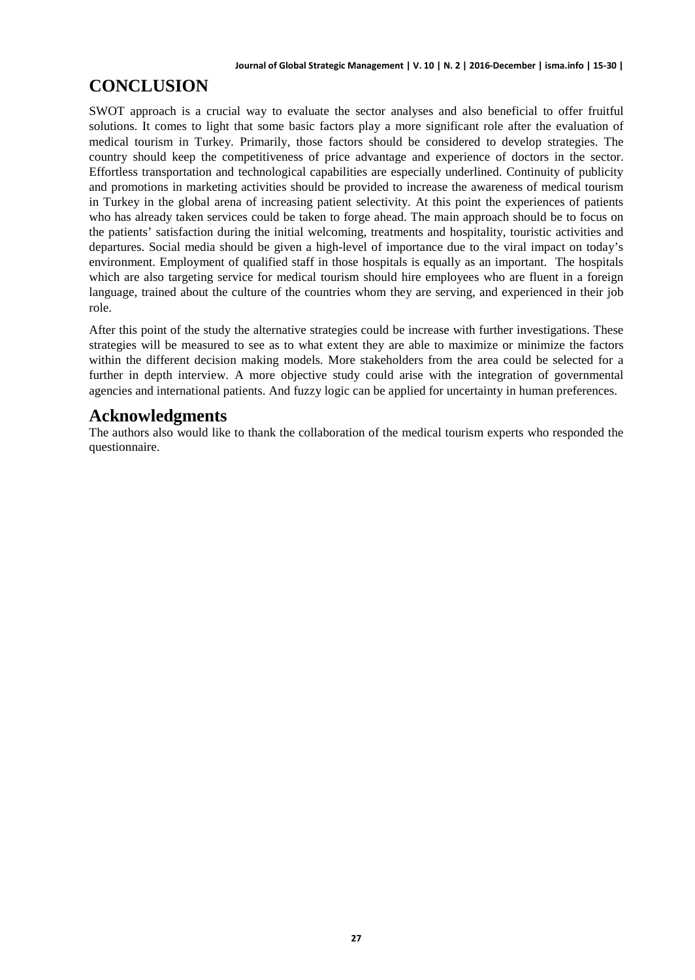# **CONCLUSION**

SWOT approach is a crucial way to evaluate the sector analyses and also beneficial to offer fruitful solutions. It comes to light that some basic factors play a more significant role after the evaluation of medical tourism in Turkey. Primarily, those factors should be considered to develop strategies. The country should keep the competitiveness of price advantage and experience of doctors in the sector. Effortless transportation and technological capabilities are especially underlined. Continuity of publicity and promotions in marketing activities should be provided to increase the awareness of medical tourism in Turkey in the global arena of increasing patient selectivity. At this point the experiences of patients who has already taken services could be taken to forge ahead. The main approach should be to focus on the patients' satisfaction during the initial welcoming, treatments and hospitality, touristic activities and departures. Social media should be given a high-level of importance due to the viral impact on today's environment. Employment of qualified staff in those hospitals is equally as an important. The hospitals which are also targeting service for medical tourism should hire employees who are fluent in a foreign language, trained about the culture of the countries whom they are serving, and experienced in their job role.

After this point of the study the alternative strategies could be increase with further investigations. These strategies will be measured to see as to what extent they are able to maximize or minimize the factors within the different decision making models. More stakeholders from the area could be selected for a further in depth interview. A more objective study could arise with the integration of governmental agencies and international patients. And fuzzy logic can be applied for uncertainty in human preferences.

# **Acknowledgments**

The authors also would like to thank the collaboration of the medical tourism experts who responded the questionnaire.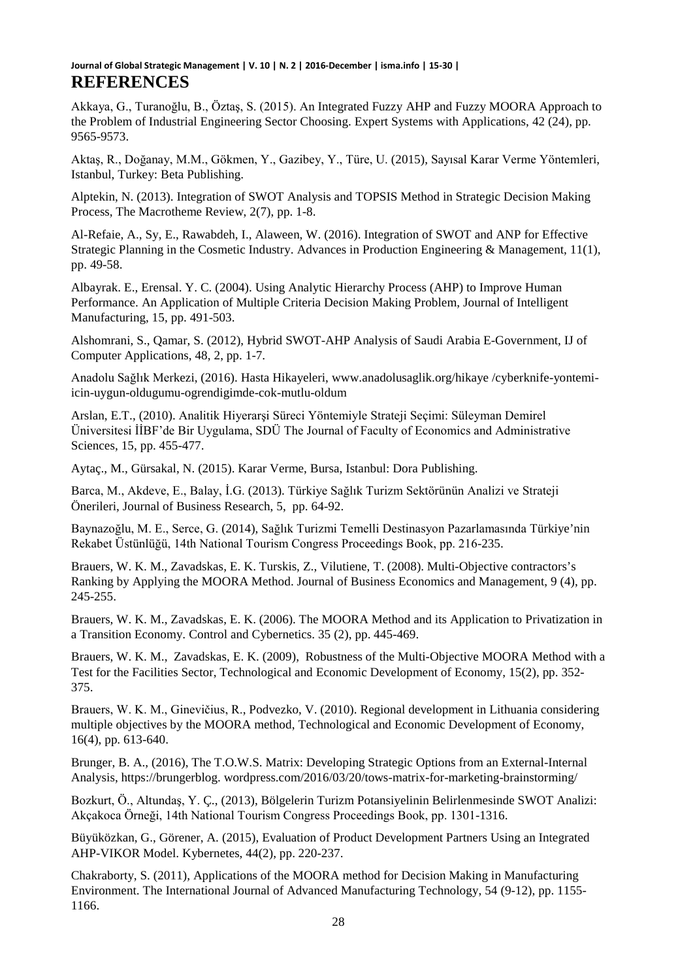Akkaya, G., Turanoğlu, B., Öztaş, S. (2015). An Integrated Fuzzy AHP and Fuzzy MOORA Approach to the Problem of Industrial Engineering Sector Choosing. Expert Systems with Applications, 42 (24), pp. 9565-9573.

Aktaş, R., Doğanay, M.M., Gökmen, Y., Gazibey, Y., Türe, U. (2015), Sayısal Karar Verme Yöntemleri, Istanbul, Turkey: Beta Publishing.

Alptekin, N. (2013). Integration of SWOT Analysis and TOPSIS Method in Strategic Decision Making Process, The Macrotheme Review, 2(7), pp. 1-8.

Al-Refaie, A., Sy, E., Rawabdeh, I., Alaween, W. (2016). Integration of SWOT and ANP for Effective Strategic Planning in the Cosmetic Industry. Advances in Production Engineering & Management, 11(1), pp. 49-58.

Albayrak. E., Erensal. Y. C. (2004). Using Analytic Hierarchy Process (AHP) to Improve Human Performance. An Application of Multiple Criteria Decision Making Problem, Journal of Intelligent Manufacturing, 15, pp. 491-503.

Alshomrani, S., Qamar, S. (2012), Hybrid SWOT-AHP Analysis of Saudi Arabia E-Government, IJ of Computer Applications, 48, 2, pp. 1-7.

Anadolu Sağlık Merkezi, (2016). Hasta Hikayeleri, www.anadolusaglik.org/hikaye /cyberknife-yontemiicin-uygun-oldugumu-ogrendigimde-cok-mutlu-oldum

Arslan, E.T., (2010). Analitik Hiyerarşi Süreci Yöntemiyle Strateji Seçimi: Süleyman Demirel Üniversitesi İİBF'de Bir Uygulama, SDÜ The Journal of Faculty of Economics and Administrative Sciences, 15, pp. 455-477.

Aytaç., M., Gürsakal, N. (2015). Karar Verme, Bursa, Istanbul: Dora Publishing.

Barca, M., Akdeve, E., Balay, İ.G. (2013). Türkiye Sağlık Turizm Sektörünün Analizi ve Strateji Önerileri, Journal of Business Research, 5, pp. 64-92.

Baynazoğlu, M. E., Serce, G. (2014), Sağlık Turizmi Temelli Destinasyon Pazarlamasında Türkiye'nin Rekabet Üstünlüğü, 14th National Tourism Congress Proceedings Book, pp. 216-235.

Brauers, W. K. M., Zavadskas, E. K. Turskis, Z., Vilutiene, T. (2008). Multi-Objective contractors's Ranking by Applying the MOORA Method. Journal of Business Economics and Management, 9 (4), pp. 245-255.

Brauers, W. K. M., Zavadskas, E. K. (2006). The MOORA Method and its Application to Privatization in a Transition Economy. Control and Cybernetics. 35 (2), pp. 445-469.

Brauers, W. K. M., Zavadskas, E. K. (2009), Robustness of the Multi-Objective MOORA Method with a Test for the Facilities Sector, Technological and Economic Development of Economy, 15(2), pp. 352- 375.

Brauers, W. K. M., Ginevičius, R., Podvezko, V. (2010). Regional development in Lithuania considering multiple objectives by the MOORA method, Technological and Economic Development of Economy, 16(4), pp. 613-640.

Brunger, B. A., (2016), The T.O.W.S. Matrix: Developing Strategic Options from an External-Internal Analysis, https://brungerblog. wordpress.com/2016/03/20/tows-matrix-for-marketing-brainstorming/

Bozkurt, Ö., Altundaş, Y. Ç., (2013), Bölgelerin Turizm Potansiyelinin Belirlenmesinde SWOT Analizi: Akçakoca Örneği, 14th National Tourism Congress Proceedings Book, pp. 1301-1316.

Büyüközkan, G., Görener, A. (2015), Evaluation of Product Development Partners Using an Integrated AHP-VIKOR Model. Kybernetes, 44(2), pp. 220-237.

Chakraborty, S. (2011), Applications of the MOORA method for Decision Making in Manufacturing Environment. The International Journal of Advanced Manufacturing Technology, 54 (9-12), pp. 1155- 1166.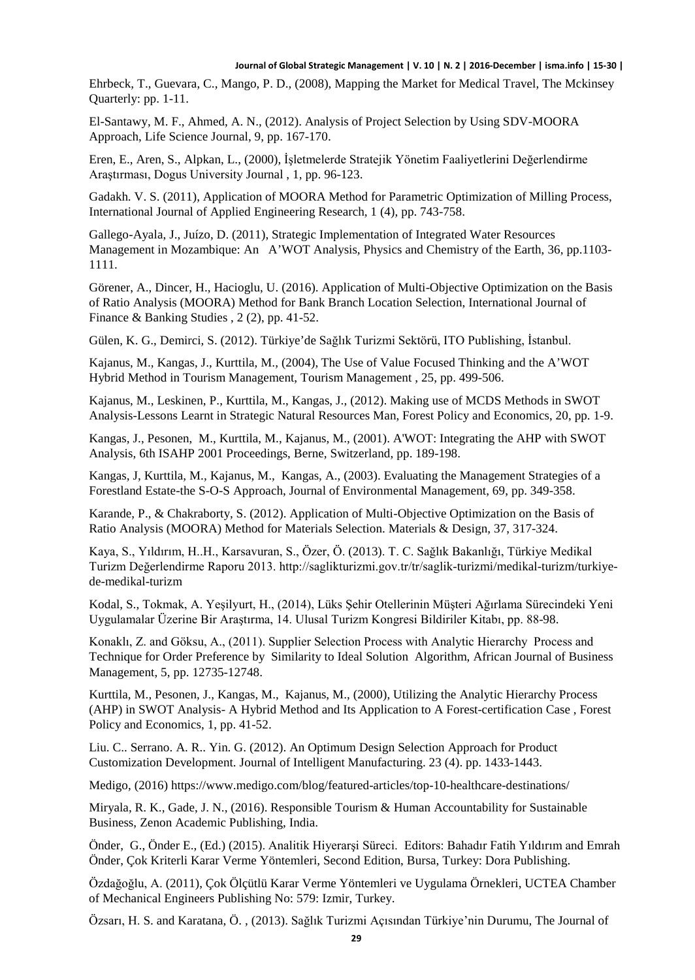Ehrbeck, T., Guevara, C., Mango, P. D., (2008), Mapping the Market for Medical Travel, The Mckinsey Quarterly: pp. 1-11.

El-Santawy, M. F., Ahmed, A. N., (2012). Analysis of Project Selection by Using SDV-MOORA Approach, Life Science Journal, 9, pp. 167-170.

Eren, E., Aren, S., Alpkan, L., (2000), İşletmelerde Stratejik Yönetim Faaliyetlerini Değerlendirme Araştırması, Dogus University Journal , 1, pp. 96-123.

Gadakh. V. S. (2011), Application of MOORA Method for Parametric Optimization of Milling Process, International Journal of Applied Engineering Research, 1 (4), pp. 743-758.

Gallego-Ayala, J., Juízo, D. (2011), Strategic Implementation of Integrated Water Resources Management in Mozambique: An A'WOT Analysis, Physics and Chemistry of the Earth, 36, pp.1103- 1111.

Görener, A., Dincer, H., Hacioglu, U. (2016). Application of Multi-Objective Optimization on the Basis of Ratio Analysis (MOORA) Method for Bank Branch Location Selection, International Journal of Finance & Banking Studies , 2 (2), pp. 41-52.

Gülen, K. G., Demirci, S. (2012). Türkiye'de Sağlık Turizmi Sektörü, ITO Publishing, İstanbul.

Kajanus, M., Kangas, J., Kurttila, M., (2004), The Use of Value Focused Thinking and the A'WOT Hybrid Method in Tourism Management, Tourism Management , 25, pp. 499-506.

Kajanus, M., Leskinen, P., Kurttila, M., Kangas, J., (2012). Making use of MCDS Methods in SWOT Analysis-Lessons Learnt in Strategic Natural Resources Man, Forest Policy and Economics, 20, pp. 1-9.

Kangas, J., Pesonen, M., Kurttila, M., Kajanus, M., (2001). A'WOT: Integrating the AHP with SWOT Analysis, 6th ISAHP 2001 Proceedings, Berne, Switzerland, pp. 189-198.

Kangas, J, Kurttila, M., Kajanus, M., Kangas, A., (2003). Evaluating the Management Strategies of a Forestland Estate-the S-O-S Approach, Journal of Environmental Management, 69, pp. 349-358.

Karande, P., & Chakraborty, S. (2012). Application of Multi-Objective Optimization on the Basis of Ratio Analysis (MOORA) Method for Materials Selection. Materials & Design, 37, 317-324.

Kaya, S., Yıldırım, H..H., Karsavuran, S., Özer, Ö. (2013). T. C. Sağlık Bakanlığı, Türkiye Medikal Turizm Değerlendirme Raporu 2013. http://saglikturizmi.gov.tr/tr/saglik-turizmi/medikal-turizm/turkiyede-medikal-turizm

Kodal, S., Tokmak, A. Yeşilyurt, H., (2014), Lüks Şehir Otellerinin Müşteri Ağırlama Sürecindeki Yeni Uygulamalar Üzerine Bir Araştırma, 14. Ulusal Turizm Kongresi Bildiriler Kitabı, pp. 88-98.

Konaklı, Z. and Göksu, A., (2011). Supplier Selection Process with Analytic Hierarchy Process and Technique for Order Preference by Similarity to Ideal Solution Algorithm, African Journal of Business Management, 5, pp. 12735-12748.

Kurttila, M., Pesonen, J., Kangas, M., Kajanus, M., (2000), Utilizing the Analytic Hierarchy Process (AHP) in SWOT Analysis- A Hybrid Method and Its Application to A Forest-certification Case , Forest Policy and Economics, 1, pp. 41-52.

Liu. C.. Serrano. A. R.. Yin. G. (2012). An Optimum Design Selection Approach for Product Customization Development. Journal of Intelligent Manufacturing. 23 (4). pp. 1433-1443.

Medigo, (2016) https://www.medigo.com/blog/featured-articles/top-10-healthcare-destinations/

Miryala, R. K., Gade, J. N., (2016). Responsible Tourism & Human Accountability for Sustainable Business, Zenon Academic Publishing, India.

Önder, G., Önder E., (Ed.) (2015). Analitik Hiyerarşi Süreci. Editors: Bahadır Fatih Yıldırım and Emrah Önder, Çok Kriterli Karar Verme Yöntemleri, Second Edition, Bursa, Turkey: Dora Publishing.

Özdağoğlu, A. (2011), Çok Ölçütlü Karar Verme Yöntemleri ve Uygulama Örnekleri, UCTEA Chamber of Mechanical Engineers Publishing No: 579: Izmir, Turkey.

Özsarı, H. S. and Karatana, Ö. , (2013). Sağlık Turizmi Açısından Türkiye'nin Durumu, The Journal of